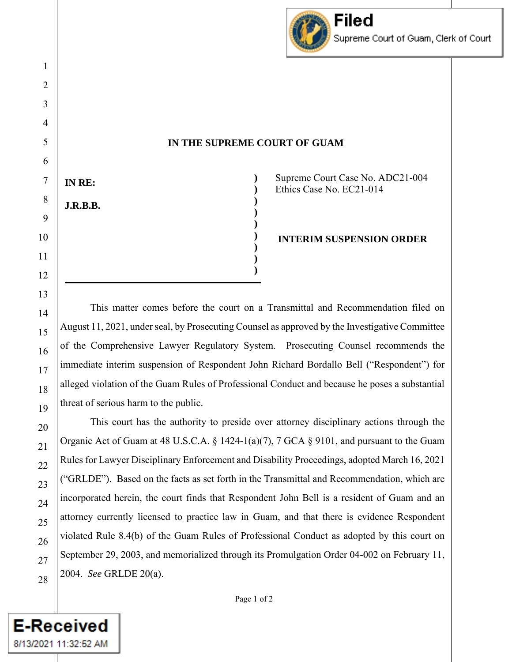

**) ) ) ) ) ) ) ) )**

Supreme Court Case No. ADC21-004 Ethics Case No. EC21-014

**INTERIM SUSPENSION ORDER**

This matter comes before the court on a Transmittal and Recommendation filed on August 11, 2021, under seal, by Prosecuting Counsel as approved by the Investigative Committee of the Comprehensive Lawyer Regulatory System. Prosecuting Counsel recommends the immediate interim suspension of Respondent John Richard Bordallo Bell ("Respondent") for alleged violation of the Guam Rules of Professional Conduct and because he poses a substantial threat of serious harm to the public.

This court has the authority to preside over attorney disciplinary actions through the Organic Act of Guam at 48 U.S.C.A. § 1424-1(a)(7), 7 GCA § 9101, and pursuant to the Guam Rules for Lawyer Disciplinary Enforcement and Disability Proceedings, adopted March 16, 2021 ("GRLDE"). Based on the facts as set forth in the Transmittal and Recommendation, which are incorporated herein, the court finds that Respondent John Bell is a resident of Guam and an attorney currently licensed to practice law in Guam, and that there is evidence Respondent violated Rule 8.4(b) of the Guam Rules of Professional Conduct as adopted by this court on September 29, 2003, and memorialized through its Promulgation Order 04-002 on February 11, 2004. *See* GRLDE 20(a).

**E-Received** 

8/13/2021 11:32:52 AM

**IN RE:**

**J.R.B.B.**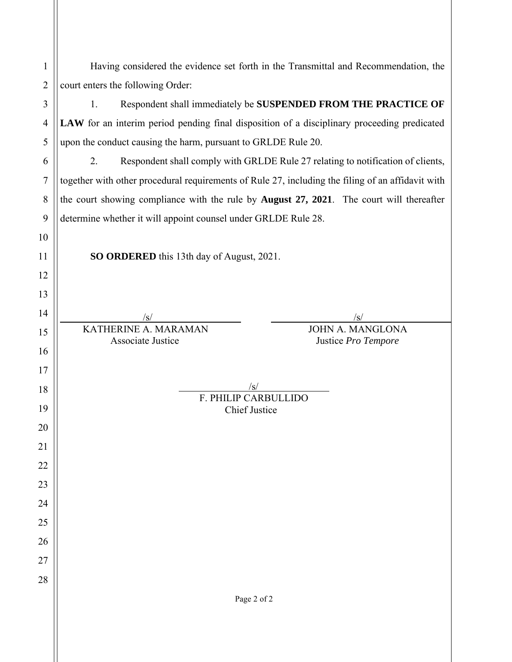| 1              | Having considered the evidence set forth in the Transmittal and Recommendation, the               |  |  |  |  |  |
|----------------|---------------------------------------------------------------------------------------------------|--|--|--|--|--|
| $\overline{2}$ | court enters the following Order:                                                                 |  |  |  |  |  |
| 3              | Respondent shall immediately be SUSPENDED FROM THE PRACTICE OF<br>1.                              |  |  |  |  |  |
| $\overline{4}$ | LAW for an interim period pending final disposition of a disciplinary proceeding predicated       |  |  |  |  |  |
| 5              | upon the conduct causing the harm, pursuant to GRLDE Rule 20.                                     |  |  |  |  |  |
| 6              | Respondent shall comply with GRLDE Rule 27 relating to notification of clients,<br>2.             |  |  |  |  |  |
| 7              | together with other procedural requirements of Rule 27, including the filing of an affidavit with |  |  |  |  |  |
| 8              | the court showing compliance with the rule by August 27, 2021. The court will thereafter          |  |  |  |  |  |
| 9              | determine whether it will appoint counsel under GRLDE Rule 28.                                    |  |  |  |  |  |
| 10             |                                                                                                   |  |  |  |  |  |
| 11             | SO ORDERED this 13th day of August, 2021.                                                         |  |  |  |  |  |
| 12             |                                                                                                   |  |  |  |  |  |
| 13             |                                                                                                   |  |  |  |  |  |
| 14             |                                                                                                   |  |  |  |  |  |
| 15             | KATHERINE A. MARAMAN<br><b>JOHN A. MANGLONA</b><br>Associate Justice<br>Justice Pro Tempore       |  |  |  |  |  |
| 16             |                                                                                                   |  |  |  |  |  |
| 17             |                                                                                                   |  |  |  |  |  |
| 18             | /s/<br>F. PHILIP CARBULLIDO                                                                       |  |  |  |  |  |
| 19             | <b>Chief Justice</b>                                                                              |  |  |  |  |  |
| 20             |                                                                                                   |  |  |  |  |  |
| 21             |                                                                                                   |  |  |  |  |  |
| 22             |                                                                                                   |  |  |  |  |  |
| 23             |                                                                                                   |  |  |  |  |  |
| 24             |                                                                                                   |  |  |  |  |  |
| 25             |                                                                                                   |  |  |  |  |  |
| 26             |                                                                                                   |  |  |  |  |  |
| 27<br>28       |                                                                                                   |  |  |  |  |  |
|                | Page 2 of 2                                                                                       |  |  |  |  |  |
|                |                                                                                                   |  |  |  |  |  |
|                |                                                                                                   |  |  |  |  |  |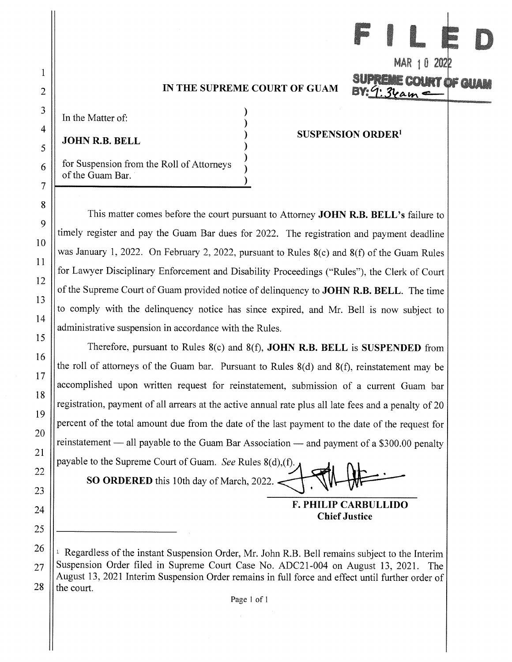In the Matter of:

**JOHN R.B. BELL** 

for Suspension from the Roll of Attorneys of the Guam Bar.

### **SUSPENSION ORDER<sup>1</sup>**

MAR 10 202

Count of C

This matter comes before the court pursuant to Attorney JOHN R.B. BELL's failure to timely register and pay the Guam Bar dues for 2022. The registration and payment deadline was January 1, 2022. On February 2, 2022, pursuant to Rules 8(c) and 8(f) of the Guam Rules for Lawyer Disciplinary Enforcement and Disability Proceedings ("Rules"), the Clerk of Court of the Supreme Court of Guam provided notice of delinguency to **JOHN R.B. BELL**. The time to comply with the delinquency notice has since expired, and Mr. Bell is now subject to administrative suspension in accordance with the Rules.

Therefore, pursuant to Rules 8(c) and 8(f), **JOHN R.B. BELL** is **SUSPENDED** from the roll of attorneys of the Guam bar. Pursuant to Rules  $8(d)$  and  $8(f)$ , reinstatement may be accomplished upon written request for reinstatement, submission of a current Guam bar registration, payment of all arrears at the active annual rate plus all late fees and a penalty of 20 percent of the total amount due from the date of the last payment to the date of the request for reinstatement — all payable to the Guam Bar Association — and payment of a \$300.00 penalty payable to the Supreme Court of Guam. See Rules 8(d), (f).

SO ORDERED this 10th day of March, 2022.

**F. PHILIP CARBULLIDO Chief Justice** 

<sup>&</sup>lt;sup>1</sup> Regardless of the instant Suspension Order, Mr. John R.B. Bell remains subject to the Interim Suspension Order filed in Supreme Court Case No. ADC21-004 on August 13, 2021. The August 13, 2021 Interim Suspension Order remains in full force and effect until further order of the court.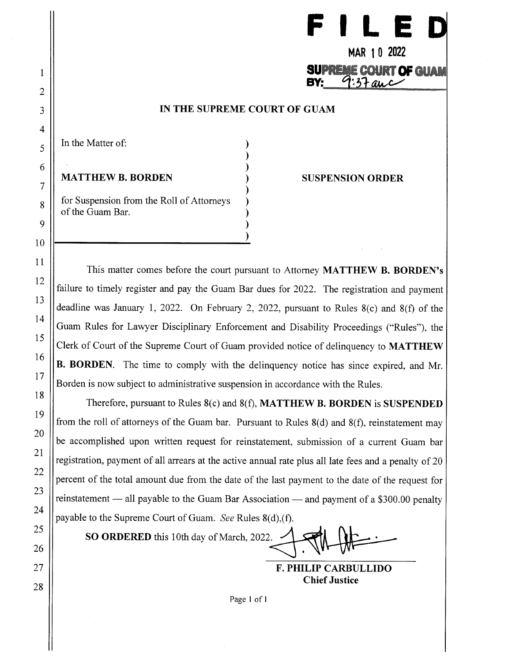|  |  | $\sim$ $\sim$ $\sim$ | and the contract of | H |
|--|--|----------------------|---------------------|---|
|--|--|----------------------|---------------------|---|

# MAR 10 2022 **SUPREME COURT OF GUAM**

### IN THE SUPREME COURT OF GUAM

In the Matter of:

**MATTHEW B. BORDEN** 

for Suspension from the Roll of Attorneys of the Guam Bar.

### **SUSPENSION ORDER**

This matter comes before the court pursuant to Attorney MATTHEW B. BORDEN's failure to timely register and pay the Guam Bar dues for 2022. The registration and payment deadline was January 1, 2022. On February 2, 2022, pursuant to Rules  $8(c)$  and  $8(f)$  of the Guam Rules for Lawyer Disciplinary Enforcement and Disability Proceedings ("Rules"), the Clerk of Court of the Supreme Court of Guam provided notice of delinguency to MATTHEW B. BORDEN. The time to comply with the delinquency notice has since expired, and Mr. Borden is now subject to administrative suspension in accordance with the Rules.

Therefore, pursuant to Rules  $8(c)$  and  $8(f)$ , **MATTHEW B. BORDEN** is **SUSPENDED** from the roll of attorneys of the Guam bar. Pursuant to Rules  $8(d)$  and  $8(f)$ , reinstatement may be accomplished upon written request for reinstatement, submission of a current Guam bar registration, payment of all arrears at the active annual rate plus all late fees and a penalty of 20 percent of the total amount due from the date of the last payment to the date of the request for reinstatement — all payable to the Guam Bar Association — and payment of a \$300.00 penalty payable to the Supreme Court of Guam. See Rules 8(d), (f).

SO ORDERED this 10th day of March, 2022.

**F. PHILIP CARBULLIDO Chief Justice**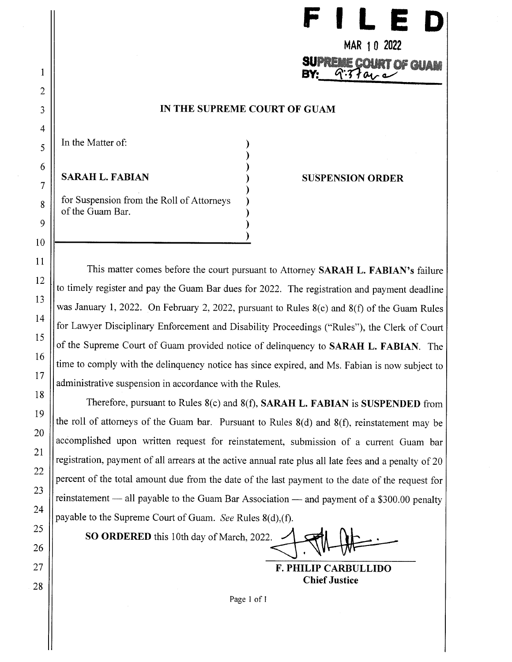

In the Matter of:

**SARAH L. FABIAN** 

for Suspension from the Roll of Attorneys of the Guam Bar.

### **SUSPENSION ORDER**

This matter comes before the court pursuant to Attorney SARAH L. FABIAN's failure to timely register and pay the Guam Bar dues for 2022. The registration and payment deadline was January 1, 2022. On February 2, 2022, pursuant to Rules 8(c) and 8(f) of the Guam Rules for Lawyer Disciplinary Enforcement and Disability Proceedings ("Rules"), the Clerk of Court of the Supreme Court of Guam provided notice of delinquency to SARAH L. FABIAN. The time to comply with the delinquency notice has since expired, and Ms. Fabian is now subject to administrative suspension in accordance with the Rules.

Therefore, pursuant to Rules 8(c) and 8(f), SARAH L. FABIAN is SUSPENDED from the roll of attorneys of the Guam bar. Pursuant to Rules  $8(d)$  and  $8(f)$ , reinstatement may be accomplished upon written request for reinstatement, submission of a current Guam bar registration, payment of all arrears at the active annual rate plus all late fees and a penalty of 20 percent of the total amount due from the date of the last payment to the date of the request for reinstatement — all payable to the Guam Bar Association — and payment of a \$300.00 penalty payable to the Supreme Court of Guam. See Rules 8(d), (f).

SO ORDERED this 10th day of March, 2022.

**F. PHILIP CARBULLIDO Chief Justice**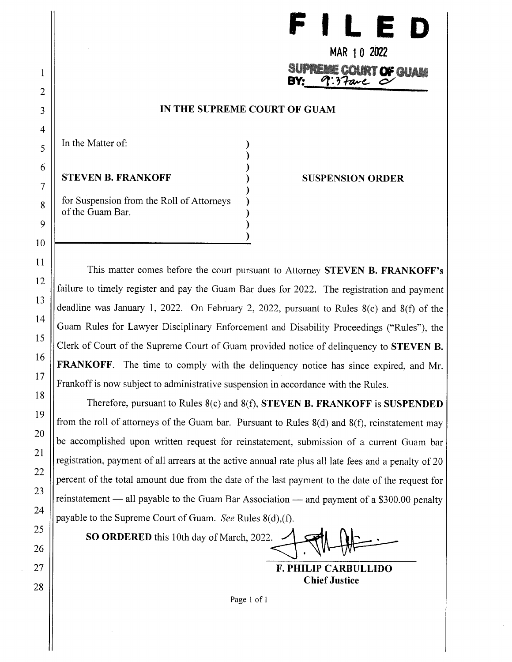

MAR 10 2022 **SUPREME COURT OF GUAM**  $9:37$ are

# IN THE SUPREME COURT OF GUAM

In the Matter of:

**STEVEN B. FRANKOFF** 

for Suspension from the Roll of Attorneys of the Guam Bar.

**SUSPENSION ORDER** 

This matter comes before the court pursuant to Attorney STEVEN B. FRANKOFF's failure to timely register and pay the Guam Bar dues for 2022. The registration and payment deadline was January 1, 2022. On February 2, 2022, pursuant to Rules  $8(c)$  and  $8(f)$  of the Guam Rules for Lawyer Disciplinary Enforcement and Disability Proceedings ("Rules"), the Clerk of Court of the Supreme Court of Guam provided notice of delinguency to **STEVEN B. FRANKOFF.** The time to comply with the delinquency notice has since expired, and Mr. Frankoff is now subject to administrative suspension in accordance with the Rules.

Therefore, pursuant to Rules  $8(c)$  and  $8(f)$ , STEVEN B. FRANKOFF is SUSPENDED from the roll of attorneys of the Guam bar. Pursuant to Rules  $8(d)$  and  $8(f)$ , reinstatement may be accomplished upon written request for reinstatement, submission of a current Guam bar registration, payment of all arrears at the active annual rate plus all late fees and a penalty of 20 percent of the total amount due from the date of the last payment to the date of the request for reinstatement — all payable to the Guam Bar Association — and payment of a \$300.00 penalty payable to the Supreme Court of Guam. See Rules 8(d), (f).

SO ORDERED this 10th day of March, 2022.

**F. PHILIP CARBULLIDO Chief Justice**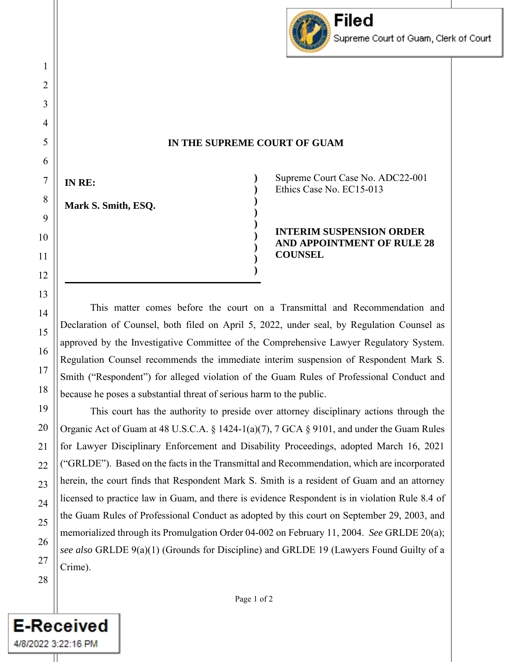

**) ) ) ) ) ) ) ) )**

**IN RE:**

**Mark S. Smith, ESQ.**

Supreme Court Case No. ADC22-001 Ethics Case No. EC15-013

**INTERIM SUSPENSION ORDER AND APPOINTMENT OF RULE 28 COUNSEL** 

This matter comes before the court on a Transmittal and Recommendation and Declaration of Counsel, both filed on April 5, 2022, under seal, by Regulation Counsel as approved by the Investigative Committee of the Comprehensive Lawyer Regulatory System. Regulation Counsel recommends the immediate interim suspension of Respondent Mark S. Smith ("Respondent") for alleged violation of the Guam Rules of Professional Conduct and because he poses a substantial threat of serious harm to the public.

This court has the authority to preside over attorney disciplinary actions through the Organic Act of Guam at 48 U.S.C.A. § 1424-1(a)(7), 7 GCA § 9101, and under the Guam Rules for Lawyer Disciplinary Enforcement and Disability Proceedings, adopted March 16, 2021 ("GRLDE"). Based on the facts in the Transmittal and Recommendation, which are incorporated herein, the court finds that Respondent Mark S. Smith is a resident of Guam and an attorney licensed to practice law in Guam, and there is evidence Respondent is in violation Rule 8.4 of the Guam Rules of Professional Conduct as adopted by this court on September 29, 2003, and memorialized through its Promulgation Order 04-002 on February 11, 2004. *See* GRLDE 20(a); *see also* GRLDE 9(a)(1) (Grounds for Discipline) and GRLDE 19 (Lawyers Found Guilty of a Crime).

**E-Received** 

4/8/2022 3:22:16 PM II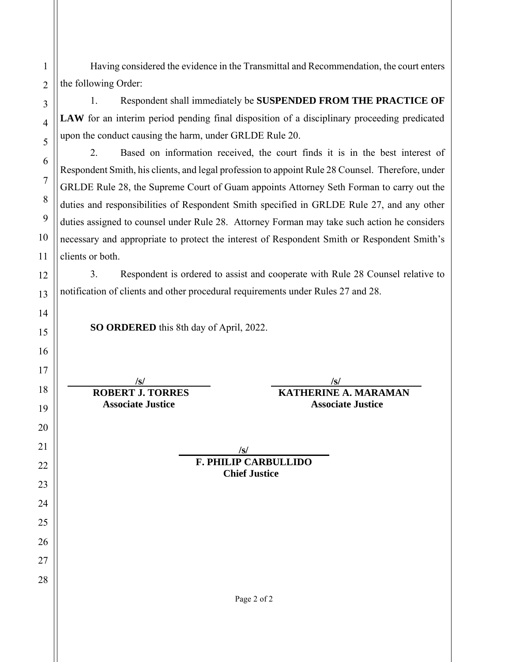Having considered the evidence in the Transmittal and Recommendation, the court enters the following Order:

1. Respondent shall immediately be **SUSPENDED FROM THE PRACTICE OF**  LAW for an interim period pending final disposition of a disciplinary proceeding predicated upon the conduct causing the harm, under GRLDE Rule 20.

2. Based on information received, the court finds it is in the best interest of Respondent Smith, his clients, and legal profession to appoint Rule 28 Counsel. Therefore, under GRLDE Rule 28, the Supreme Court of Guam appoints Attorney Seth Forman to carry out the duties and responsibilities of Respondent Smith specified in GRLDE Rule 27, and any other duties assigned to counsel under Rule 28. Attorney Forman may take such action he considers necessary and appropriate to protect the interest of Respondent Smith or Respondent Smith's clients or both.

3. Respondent is ordered to assist and cooperate with Rule 28 Counsel relative to notification of clients and other procedural requirements under Rules 27 and 28.

**SO ORDERED** this 8th day of April, 2022.

 **/s/ /s/ ROBERT J. TORRES KATHERINE A. MARAMAN Associate Justice Associate Justice** 

> **/s/ F. PHILIP CARBULLIDO Chief Justice**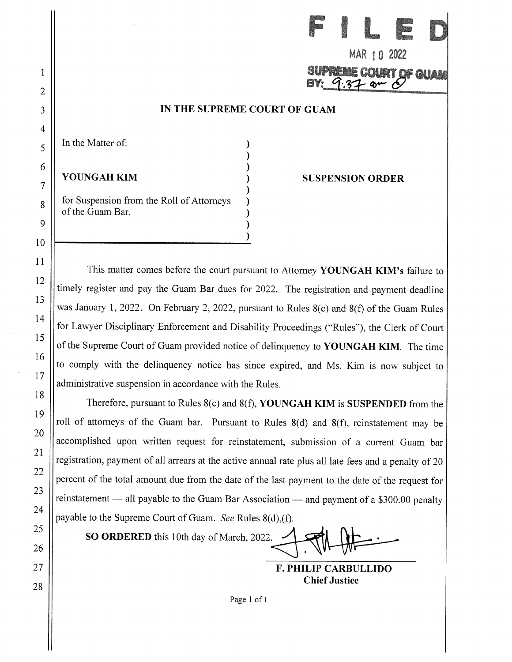|--|--|--|--|

# MAR 10 2022 **OF GUAN**

### IN THE SUPREME COURT OF GUAM

In the Matter of:

YOUNGAH KIM

for Suspension from the Roll of Attorneys of the Guam Bar.

### **SUSPENSION ORDER**

This matter comes before the court pursuant to Attorney YOUNGAH KIM's failure to timely register and pay the Guam Bar dues for 2022. The registration and payment deadline was January 1, 2022. On February 2, 2022, pursuant to Rules  $8(c)$  and  $8(f)$  of the Guam Rules for Lawyer Disciplinary Enforcement and Disability Proceedings ("Rules"), the Clerk of Court of the Supreme Court of Guam provided notice of delinguency to YOUNGAH KIM. The time to comply with the delinquency notice has since expired, and Ms. Kim is now subject to administrative suspension in accordance with the Rules.

Therefore, pursuant to Rules  $8(c)$  and  $8(f)$ , YOUNGAH KIM is SUSPENDED from the roll of attorneys of the Guam bar. Pursuant to Rules 8(d) and 8(f), reinstatement may be accomplished upon written request for reinstatement, submission of a current Guam bar registration, payment of all arrears at the active annual rate plus all late fees and a penalty of 20 percent of the total amount due from the date of the last payment to the date of the request for reinstatement — all payable to the Guam Bar Association — and payment of a \$300.00 penalty payable to the Supreme Court of Guam. See Rules 8(d), (f).

SO ORDERED this 10th day of March, 2022.

**F. PHILIP CARBULLIDO Chief Justice**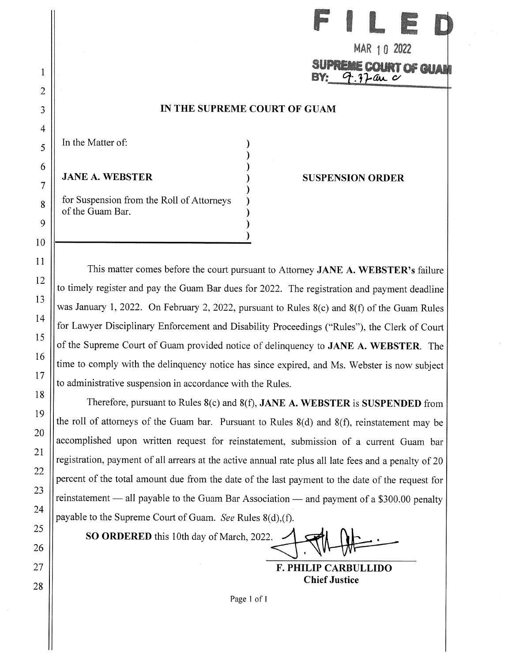| ж<br>$\sim$ |     |    |                  |  |
|-------------|-----|----|------------------|--|
|             | MAD | ,, | a pr<br>71 I 7 7 |  |

In the Matter of:

**JANE A. WEBSTER** 

for Suspension from the Roll of Attorneys of the Guam Bar.

### **SUSPENSION ORDER**

This matter comes before the court pursuant to Attorney JANE A. WEBSTER's failure to timely register and pay the Guam Bar dues for 2022. The registration and payment deadline was January 1, 2022. On February 2, 2022, pursuant to Rules 8(c) and 8(f) of the Guam Rules for Lawyer Disciplinary Enforcement and Disability Proceedings ("Rules"), the Clerk of Court of the Supreme Court of Guam provided notice of delinquency to JANE A. WEBSTER. The time to comply with the delinquency notice has since expired, and Ms. Webster is now subject to administrative suspension in accordance with the Rules.

Therefore, pursuant to Rules  $8(c)$  and  $8(f)$ , JANE A. WEBSTER is SUSPENDED from the roll of attorneys of the Guam bar. Pursuant to Rules  $8(d)$  and  $8(f)$ , reinstatement may be accomplished upon written request for reinstatement, submission of a current Guam bar registration, payment of all arrears at the active annual rate plus all late fees and a penalty of 20 percent of the total amount due from the date of the last payment to the date of the request for reinstatement — all payable to the Guam Bar Association — and payment of a \$300.00 penalty payable to the Supreme Court of Guam. See Rules 8(d), (f).

SO ORDERED this 10th day of March, 2022.

**F. PHILIP CARBULLIDO Chief Justice**